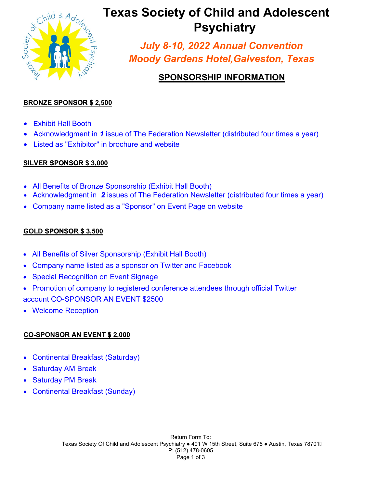

# *<b>Texas Society of Child and Adolescent* **Psychiatry**

*July 8-10, 2022 Annual Convention Moody Gardens Hotel,Galveston, Texas*

## **SPONSORSHIP INFORMATION**

## **BRONZE SPONSOR \$ 2,500**

- Exhibit Hall Booth
- Acknowledgment in *1* issue of The Federation Newsletter (distributed four times a year)
- Listed as "Exhibitor" in brochure and website

## **SILVER SPONSOR \$ 3,000**

- All Benefits of Bronze Sponsorship (Exhibit Hall Booth)
- Acknowledgment in *2* issues of The Federation Newsletter (distributed four times a year)
- Company name listed as a "Sponsor" on Event Page on website

## **GOLD SPONSOR \$ 3,500**

- All Benefits of Silver Sponsorship (Exhibit Hall Booth)
- Company name listed as a sponsor on Twitter and Facebook
- **Special Recognition on Event Signage**
- Promotion of company to registered conference attendees through official Twitter account CO-SPONSOR AN EVENT \$2500
- Welcome Reception

## **CO-SPONSOR AN EVENT \$ 2,000**

- Continental Breakfast (Saturday)
- **Saturday AM Break**
- Saturday PM Break
- Continental Breakfast (Sunday)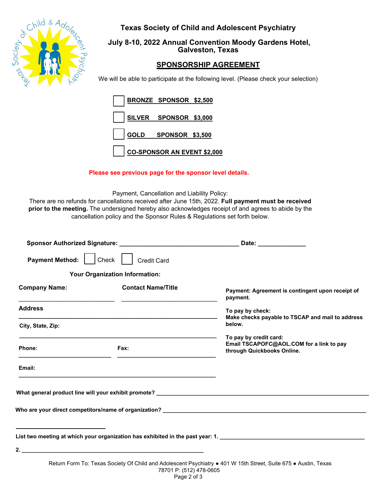

**Texas Society of Child and Adolescent Psychiatry**

## **July 8-10, 2022 Annual Convention Moody Gardens Hotel, Galveston, Texas**

## **SPONSORSHIP AGREEMENT**

We will be able to participate at the following level. (Please check your selection)

| BRONZE SPONSOR \$2,500      |  |
|-----------------------------|--|
| SILVER SPONSOR \$3,000      |  |
| GOLD SPONSOR \$3,500        |  |
| CO-SPONSOR AN EVENT \$2,000 |  |

## **Please see previous page for the sponsor level details.**

Payment, Cancellation and Liability Policy:

There are no refunds for cancellations received after June 15th, 2022. **Full payment must be received prior to the meeting.** The undersigned hereby also acknowledges receipt of and agrees to abide by the cancellation policy and the Sponsor Rules & Regulations set forth below.

|                                                           |                                       | Date: _______________                                                                                                                                                                                                                                                                                               |
|-----------------------------------------------------------|---------------------------------------|---------------------------------------------------------------------------------------------------------------------------------------------------------------------------------------------------------------------------------------------------------------------------------------------------------------------|
| <b>Payment Method:</b>                                    | <b>Credit Card</b><br>Check           |                                                                                                                                                                                                                                                                                                                     |
|                                                           | <b>Your Organization Information:</b> |                                                                                                                                                                                                                                                                                                                     |
| <b>Company Name:</b>                                      | <b>Contact Name/Title</b>             | Payment: Agreement is contingent upon receipt of<br>payment.                                                                                                                                                                                                                                                        |
| <b>Address</b>                                            |                                       | To pay by check:                                                                                                                                                                                                                                                                                                    |
| City, State, Zip:                                         |                                       | Make checks payable to TSCAP and mail to address<br>below.                                                                                                                                                                                                                                                          |
| Phone:                                                    | Fax:                                  | To pay by credit card:<br>Email TSCAPOFC@AOL.COM for a link to pay<br>through Quickbooks Online.                                                                                                                                                                                                                    |
| Email:                                                    |                                       |                                                                                                                                                                                                                                                                                                                     |
| <u> 1989 - Johann Barnett, fransk politiker (d. 1989)</u> |                                       | Who are your direct competitors/name of organization? __________________________                                                                                                                                                                                                                                    |
|                                                           |                                       | List two meeting at which your organization has exhibited in the past year: 1. _______________________________                                                                                                                                                                                                      |
|                                                           |                                       |                                                                                                                                                                                                                                                                                                                     |
|                                                           |                                       | $\frac{1}{2}$ $\frac{1}{2}$ $\frac{1}{2}$ $\frac{1}{2}$ $\frac{1}{2}$ $\frac{1}{2}$ $\frac{1}{2}$ $\frac{1}{2}$ $\frac{1}{2}$ $\frac{1}{2}$ $\frac{1}{2}$ $\frac{1}{2}$ $\frac{1}{2}$ $\frac{1}{2}$ $\frac{1}{2}$ $\frac{1}{2}$ $\frac{1}{2}$ $\frac{1}{2}$ $\frac{1}{2}$ $\frac{1}{2}$ $\frac{1}{2}$ $\frac{1}{2}$ |

Return Form To: Texas Society Of Child and Adolescent Psychiatry ● 401 W 15th Street, Suite 675 ● Austin, Texas 78701 P: (512) 478-0605 Page 2 of 3